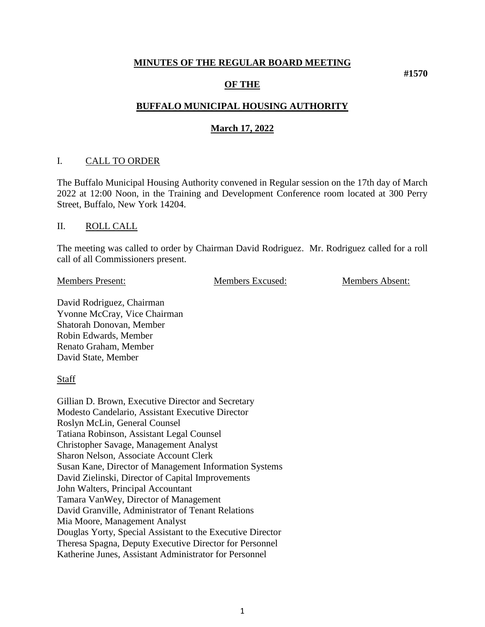#### **MINUTES OF THE REGULAR BOARD MEETING**

#### **OF THE**

# **BUFFALO MUNICIPAL HOUSING AUTHORITY**

#### **March 17, 2022**

#### I. CALL TO ORDER

The Buffalo Municipal Housing Authority convened in Regular session on the 17th day of March 2022 at 12:00 Noon, in the Training and Development Conference room located at 300 Perry Street, Buffalo, New York 14204.

#### II. ROLL CALL

The meeting was called to order by Chairman David Rodriguez. Mr. Rodriguez called for a roll call of all Commissioners present.

Members Present: Members Excused: Members Absent:

**#1570**

David Rodriguez, Chairman Yvonne McCray, Vice Chairman Shatorah Donovan, Member Robin Edwards, Member Renato Graham, Member David State, Member

**Staff** 

Gillian D. Brown, Executive Director and Secretary Modesto Candelario, Assistant Executive Director Roslyn McLin, General Counsel Tatiana Robinson, Assistant Legal Counsel Christopher Savage, Management Analyst Sharon Nelson, Associate Account Clerk Susan Kane, Director of Management Information Systems David Zielinski, Director of Capital Improvements John Walters, Principal Accountant Tamara VanWey, Director of Management David Granville, Administrator of Tenant Relations Mia Moore, Management Analyst Douglas Yorty, Special Assistant to the Executive Director Theresa Spagna, Deputy Executive Director for Personnel Katherine Junes, Assistant Administrator for Personnel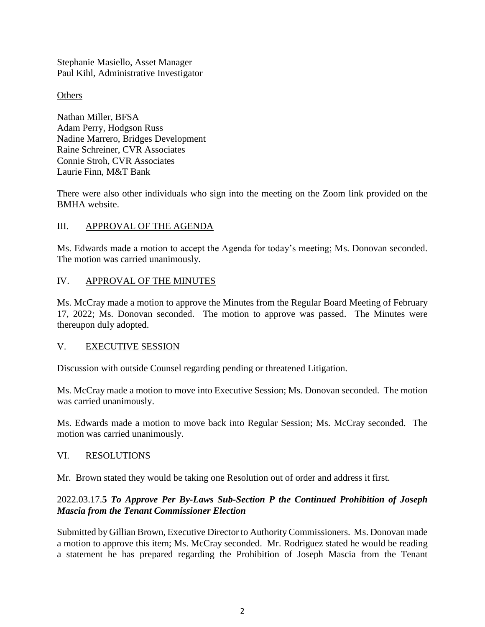Stephanie Masiello, Asset Manager Paul Kihl, Administrative Investigator

**Others** 

Nathan Miller, BFSA Adam Perry, Hodgson Russ Nadine Marrero, Bridges Development Raine Schreiner, CVR Associates Connie Stroh, CVR Associates Laurie Finn, M&T Bank

There were also other individuals who sign into the meeting on the Zoom link provided on the BMHA website.

### III. APPROVAL OF THE AGENDA

Ms. Edwards made a motion to accept the Agenda for today's meeting; Ms. Donovan seconded. The motion was carried unanimously.

## IV. APPROVAL OF THE MINUTES

Ms. McCray made a motion to approve the Minutes from the Regular Board Meeting of February 17, 2022; Ms. Donovan seconded. The motion to approve was passed. The Minutes were thereupon duly adopted.

### V. EXECUTIVE SESSION

Discussion with outside Counsel regarding pending or threatened Litigation.

Ms. McCray made a motion to move into Executive Session; Ms. Donovan seconded. The motion was carried unanimously.

Ms. Edwards made a motion to move back into Regular Session; Ms. McCray seconded. The motion was carried unanimously.

#### VI. RESOLUTIONS

Mr. Brown stated they would be taking one Resolution out of order and address it first.

### 2022.03.17.**5** *To Approve Per By-Laws Sub-Section P the Continued Prohibition of Joseph Mascia from the Tenant Commissioner Election*

Submitted by Gillian Brown, Executive Director to Authority Commissioners. Ms. Donovan made a motion to approve this item; Ms. McCray seconded. Mr. Rodriguez stated he would be reading a statement he has prepared regarding the Prohibition of Joseph Mascia from the Tenant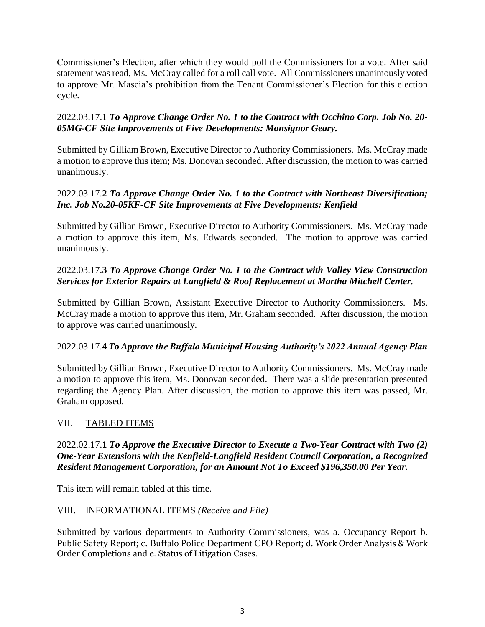Commissioner's Election, after which they would poll the Commissioners for a vote. After said statement was read, Ms. McCray called for a roll call vote. All Commissioners unanimously voted to approve Mr. Mascia's prohibition from the Tenant Commissioner's Election for this election cycle.

## 2022.03.17.**1** *To Approve Change Order No. 1 to the Contract with Occhino Corp. Job No. 20- 05MG-CF Site Improvements at Five Developments: Monsignor Geary.*

Submitted by Gilliam Brown, Executive Director to Authority Commissioners. Ms. McCray made a motion to approve this item; Ms. Donovan seconded. After discussion, the motion to was carried unanimously.

## 2022.03.17.**2** *To Approve Change Order No. 1 to the Contract with Northeast Diversification; Inc. Job No.20-05KF-CF Site Improvements at Five Developments: Kenfield*

Submitted by Gillian Brown, Executive Director to Authority Commissioners. Ms. McCray made a motion to approve this item, Ms. Edwards seconded. The motion to approve was carried unanimously.

## 2022.03.17.**3** *To Approve Change Order No. 1 to the Contract with Valley View Construction Services for Exterior Repairs at Langfield & Roof Replacement at Martha Mitchell Center.*

Submitted by Gillian Brown, Assistant Executive Director to Authority Commissioners. Ms. McCray made a motion to approve this item, Mr. Graham seconded. After discussion, the motion to approve was carried unanimously.

### 2022.03.17.**4** *To Approve the Buffalo Municipal Housing Authority's 2022 Annual Agency Plan*

Submitted by Gillian Brown, Executive Director to Authority Commissioners. Ms. McCray made a motion to approve this item, Ms. Donovan seconded. There was a slide presentation presented regarding the Agency Plan. After discussion, the motion to approve this item was passed, Mr. Graham opposed.

## VII. TABLED ITEMS

## 2022.02.17.**1** *To Approve the Executive Director to Execute a Two-Year Contract with Two (2) One-Year Extensions with the Kenfield-Langfield Resident Council Corporation, a Recognized Resident Management Corporation, for an Amount Not To Exceed \$196,350.00 Per Year.*

This item will remain tabled at this time.

### VIII. INFORMATIONAL ITEMS *(Receive and File)*

Submitted by various departments to Authority Commissioners, was a. Occupancy Report b. Public Safety Report; c. Buffalo Police Department CPO Report; d. Work Order Analysis & Work Order Completions and e. Status of Litigation Cases.